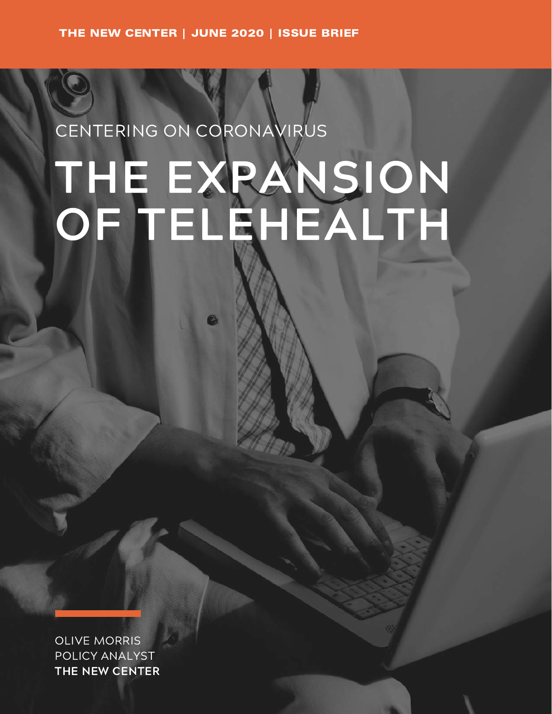# CENTERING ON CORONAVIRUS THE EXPANSION OF TELEHEALTH

OLIVE MORRIS POLICY ANALYST THE NEW CENTER

THE NEW CENTER | JUNE 2020 | ISSUE BRIEF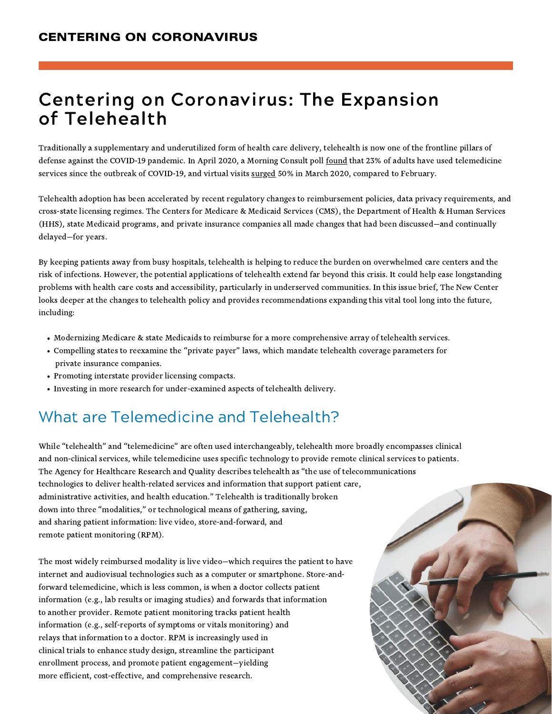- Modernizing Medicare & state Medicaids to reimburse for a more comprehensive array of telehealth services.
- Compelling states to reexamine the "private payer" laws, which mandate telehealth coverage parameters for private insurance companies.
- Promoting interstate provider licensing compacts.
- Investing in more research for under-examined aspects of telehealth delivery.

Traditionally a supplementary and underutilized form of health care delivery, telehealth is now one of the frontline pillars of defense against the COVID-19 pandemic. In April 2020, a Morning Consult poll [found](https://morningconsult.com/wp-content/uploads/2020/05/2004100_crosstabs_CONTENT_CORONAVIRUS_Adults_v2_RG.pdf) that 23% of adults have used telemedicine services since the outbreak of COVID-19, and virtual visits [surged](https://www.forbes.com/sites/mergermarket/2020/04/22/demand-for-telehealth-services-amid-pandemic-just-what-the-doctor-ordered-for-investors/#2382249c3c1c) 50% in March 2020, compared to February.

Telehealth adoption has been accelerated by recent regulatory changes to reimbursement policies, data privacy requirements, and cross-state licensing regimes. The Centers for Medicare & Medicaid Services (CMS), the Department of Health & Human Services (HHS), state Medicaid programs, and private insurance companies all made changes that had been discussed—and continually delayed—for years.

By keeping patients away from busy hospitals, telehealth is helping to reduce the burden on overwhelmed care centers and the risk of infections. However, the potential applications of telehealth extend far beyond this crisis. It could help ease longstanding problems with health care costs and accessibility, particularly in underserved communities. In this issue brief, The New Center looks deeper at the changes to telehealth policy and provides recommendations expanding this vital tool long into the future, including:

# Centering on Coronavirus: The Expansion of Telehealth

# What are Telemedicine and Telehealth?

The most widely reimbursed modality is live video—which requires the patient to have internet and audiovisual technologies such as a computer or smartphone. Store-andforward telemedicine, which is less common, is when a doctor collects patient information (e.g., lab results or imaging studies) and forwards that information to another provider. Remote patient monitoring tracks patient health information (e.g., self-reports of symptoms or vitals monitoring) and relays that information to a doctor. RPM is increasingly used in clinical trials to enhance study design, streamline the participant enrollment process, and promote patient engagement—yielding more efficient, cost-effective, and comprehensive research.



While "telehealth" and "telemedicine" are often used interchangeably, telehealth more broadly encompasses clinical and non-clinical services, while telemedicine uses specific technology to provide remote clinical services to patients. The Agency for Healthcare Research and Quality describes telehealth as "the use of telecommunications technologies to deliver health-related services and information that support patient care, administrative activities, and health education." Telehealth is traditionally broken down into three "modalities, " or technological means of gathering, saving, and sharing patient information: live video, store-and-forward, and remote patient monitoring (RPM).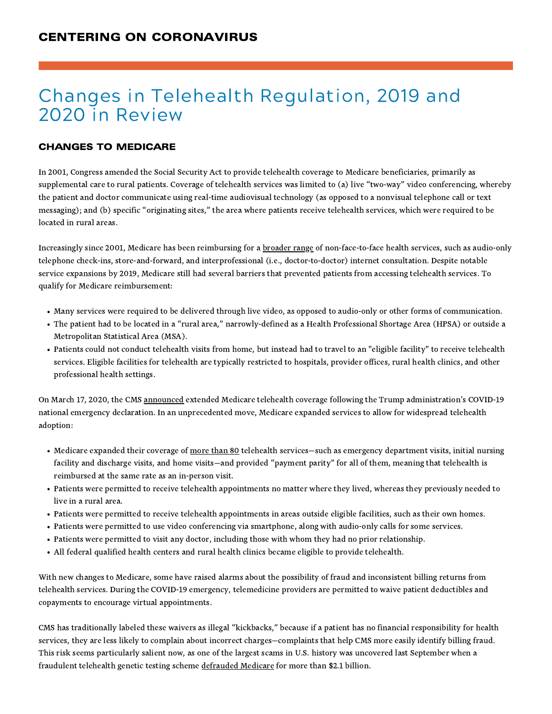# Changes in Telehealth Regulation, 2019 and 2020 in Review

- Many services were required to be delivered through live video, as opposed to audio-only or other forms of communication.
- The patient had to be located in a "rural area, " narrowly-defined as a Health Professional Shortage Area (HPSA) or outside a Metropolitan Statistical Area (MSA).
- Patients could not conduct telehealth visits from home, but instead had to travel to an "eligible facility" to receive telehealth services. Eligible facilities for telehealth are typically restricted to hospitals, provider offices, rural health clinics, and other professional health settings.

- Medicare expanded their coverage of [more](https://www.cms.gov/Medicare/Medicare-General-Information/Telehealth/Telehealth-Codes) than 80 telehealth services—such as emergency department visits, initial nursing facility and discharge visits, and home visits—and provided "payment parity " for all of them, meaning that telehealth is reimbursed at the same rate as an in-person visit.
- Patients were permitted to receive telehealth appointments no matter where they lived, whereas they previously needed to live in a rural area.
- Patients were permitted to receive telehealth appointments in areas outside eligible facilities, such as their own homes.
- Patients were permitted to use video conferencing via smartphone, along with audio-only calls for some services.
- Patients were permitted to visit any doctor, including those with whom they had no prior relationship.
- All federal qualified health centers and rural health clinics became eligible to provide telehealth.

Increasingly since 2001, Medicare has been reimbursing for a **[broader](https://www.cchpca.org/sites/default/files/2018-11/FINAL%20PFS%20CY%202019%20COMBINED_0.pdf) range** of non-face-to-face health services, such as audio-only telephone check-ins, store-and-forward, and interprofessional (i.e., doctor-to-doctor) internet consultation. Despite notable service expansions by 2019, Medicare still had several barriers that prevented patients from accessing telehealth services. To qualify for Medicare reimbursement:

CMS has traditionally labeled these waivers as illegal "kickbacks," because if a patient has no financial responsibility for health services, they are less likely to complain about incorrect charges—complaints that help CMS more easily identify billing fraud. This risk seems particularly salient now, as one of the largest scams in U.S. history was uncovered last September when a fraudulent telehealth genetic testing scheme [defrauded](https://www.justice.gov/opa/pr/federal-law-enforcement-action-involving-fraudulent-genetic-testing-results-charges-against) Medicare for more than \$2.1 billion.

### CHANGES TO MEDICARE

In 2001, Congress amended the Social Security Act to provide telehealth coverage to Medicare beneficiaries, primarily as supplemental care to rural patients. Coverage of telehealth services was limited to (a) live "two-way " video conferencing, whereby the patient and doctor communicate using real-time audiovisual technology (as opposed to a nonvisual telephone call or text messaging); and (b) specific "originating sites, " the area where patients receive telehealth services, which were required to be located in rural areas.

On March 17, 2020, the CMS [announced](https://www.cms.gov/newsroom/press-releases/president-trump-expands-telehealth-benefits-medicare-beneficiaries-during-covid-19-outbreak) extended Medicare telehealth coverage following the Trump administration's COVID-19 national emergency declaration. In an unprecedented move, Medicare expanded services to allow for widespread telehealth adoption:

With new changes to Medicare, some have raised alarms about the possibility of fraud and inconsistent billing returns from telehealth services. During the COVID-19 emergency, telemedicine providers are permitted to waive patient deductibles and copayments to encourage virtual appointments.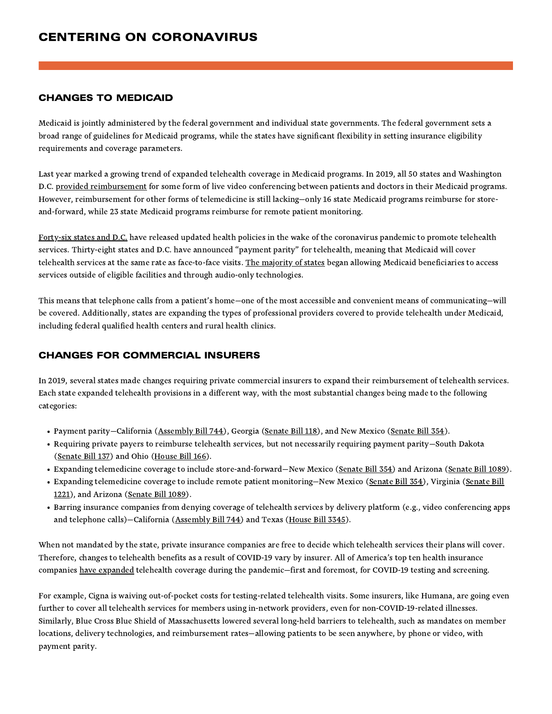### CHANGES TO MEDICAID

Medicaid is jointly administered by the federal government and individual state governments. The federal government sets a broad range of guidelines for Medicaid programs, while the states have significant flexibility in setting insurance eligibility requirements and coverage parameters.

Last year marked a growing trend of expanded telehealth coverage in Medicaid programs. In 2019, all 50 states and Washington D.C. provided [reimbursement](https://www.cchpca.org/sites/default/files/2020-05/CCHP_%2050_STATE_REPORT_SPRING_2020_FINAL.pdf) for some form of live video conferencing between patients and doctors in their Medicaid programs. However, reimbursement for other forms of telemedicine is still lacking—only 16 state Medicaid programs reimburse for storeand-forward, while 23 state Medicaid programs reimburse for remote patient monitoring.

[Forty-six](https://www.kff.org/medicaid/issue-brief/medicaid-emergency-authority-tracker-approved-state-actions-to-address-covid-19/) states and D.C. have released updated health policies in the wake of the coronavirus pandemic to promote telehealth services. Thirty-eight states and D.C. have announced "payment parity " for telehealth, meaning that Medicaid will cover telehealth services at the same rate as face-to-face visits. The [majority](https://www.cchpca.org/sites/default/files/2020-05/STATE%20TELEHEALTH%20ACTIONS%20IN%20RESPONSE%20TO%20COVID%20OVERVIEW%205.5.2020.pdf) of states began allowing Medicaid beneficiaries to access services outside of eligible facilities and through audio-only technologies.

When not mandated by the state, private insurance companies are free to decide which telehealth services their plans will cover. Therefore, changes to telehealth benefits as a result of COVID-19 vary by insurer. All of America's top ten health insurance companies have [expanded](https://www.ahip.org/health-insurance-providers-respond-to-coronavirus-covid-19/) telehealth coverage during the pandemic-first and foremost, for COVID-19 testing and screening.

This means that telephone calls from a patient's home—one of the most accessible and convenient means of communicating—will be covered. Additionally, states are expanding the types of professional providers covered to provide telehealth under Medicaid, including federal qualified health centers and rural health clinics.

### CHANGES FOR COMMERCIAL INSURERS

In 2019, several states made changes requiring private commercial insurers to expand their reimbursement of telehealth services.

Each state expanded telehealth provisions in a different way, with the most substantial changes being made to the following categories:

- Payment parity–California [\(Assembly](https://s3.amazonaws.com/fn-document-service/file-by-sha384/6ed5358b7b1cb8c82d7e3e559e820a7fb564c1dde861f6808720da2e3708efd1603d2afc5ae68da4aebc8d304608b187) Bill 744), Georgia ([Senate](https://s3.amazonaws.com/fn-document-service/file-by-sha384/5212001f3a145e678ad99ea7e9c3f1f89b8fc8fe2700b1b4ecc608778d146930654b5a2a6a7d6190a968a2c2e9bf468d) Bill 118), and New Mexico (Senate Bill 354).
- Requiring private payers to reimburse telehealth services, but not necessarily requiring payment parity—South Dakota ([Senate](http://sdlegislature.gov/Legislative_Session/Bills/Bill.aspx?File=SB137ENR.htm&Session=2019&Version=Enrolled&Bill=137) Bill 137) and Ohio [\(House](https://s3.amazonaws.com/fn-document-service/file-by-sha384/e499550a53d891d71808ab0879266c014846459f273359e88d3cd69e212400cd39369531e69e9673d14f8994d15fc420) Bill 166).
- Expanding telemedicine coverage to include store-and-forward—New Mexico [\(Senate](https://s3.amazonaws.com/fn-document-service/file-by-sha384/5212001f3a145e678ad99ea7e9c3f1f89b8fc8fe2700b1b4ecc608778d146930654b5a2a6a7d6190a968a2c2e9bf468d) Bill 354) and Arizona ([Senate](https://www.azleg.gov/legtext/54leg/1R/laws/0111.htm) Bill 1089).
- Expanding telemedicine coverage to include remote patient [monitoring—New](http://lis.virginia.gov/cgi-bin/legp604.exe?191+ful+CHAP0219) Mexico ([Senate](https://s3.amazonaws.com/fn-document-service/file-by-sha384/5212001f3a145e678ad99ea7e9c3f1f89b8fc8fe2700b1b4ecc608778d146930654b5a2a6a7d6190a968a2c2e9bf468d) Bill 354), Virginia (Senate Bill 1221), and Arizona [\(Senate](https://www.azleg.gov/legtext/54leg/1R/laws/0111.htm) Bill 1089).
- Barring insurance companies from denying coverage of telehealth services by delivery platform (e.g., video conferencing apps and telephone calls)-California [\(Assembly](https://s3.amazonaws.com/fn-document-service/file-by-sha384/6ed5358b7b1cb8c82d7e3e559e820a7fb564c1dde861f6808720da2e3708efd1603d2afc5ae68da4aebc8d304608b187) Bill 744) and Texas [\(House](https://s3.amazonaws.com/fn-document-service/file-by-sha384/684ee892a3f8ab4f4086061148299d522d72f9009a9f7f66e7ff86b06146ea7b62ccb0fd3e45c2a8f4b9bd5f7b09cb85) Bill 3345).

For example, Cigna is waiving out-of-pocket costs for testing-related telehealth visits. Some insurers, like Humana, are going even further to cover all telehealth services for members using in-network providers, even for non-COVID-19-related illnesses. Similarly, Blue Cross Blue Shield of Massachusetts lowered several long-held barriers to telehealth, such as mandates on member locations, delivery technologies, and reimbursement rates—allowing patients to be seen anywhere, by phone or video, with payment parity.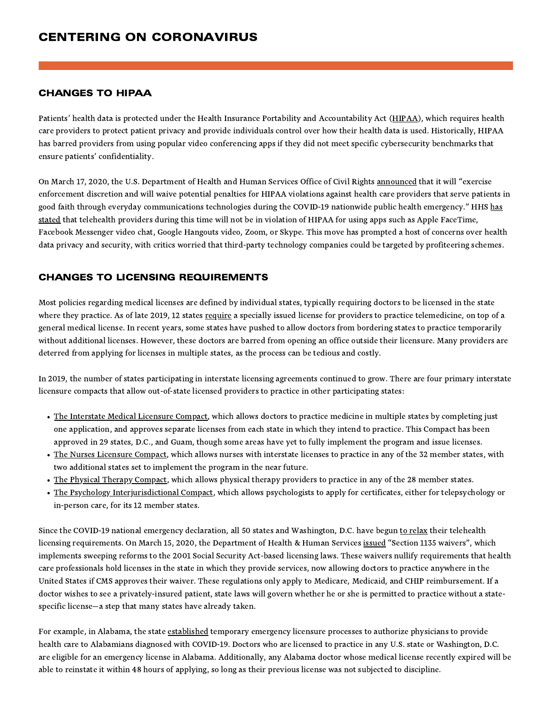### CHANGES TO HIPAA

Patients' health data is protected under the Health Insurance Portability and Accountability Act [\(HIPAA\)](https://www.dhcs.ca.gov/formsandpubs/laws/hipaa/Pages/1.00WhatisHIPAA.aspx), which requires health care providers to protect patient privacy and provide individuals control over how their health data is used. Historically, HIPAA has barred providers from using popular video conferencing apps if they did not meet specific cybersecurity benchmarks that ensure patients' confidentiality.

On March 17, 2020, the U.S. Department of Health and Human Services Office of Civil Rights [announced](https://www.hhs.gov/about/news/2020/03/17/ocr-announces-notification-of-enforcement-discretion-for-telehealth-remote-communications-during-the-covid-19.html) that it will "exercise enforcement discretion and will waive potential penalties for HIPAA violations against health care providers that serve patients in good faith through everyday communications technologies during the COVID-19 nationwide public health [emergency."](https://www.hhs.gov/hipaa/for-professionals/special-topics/emergency-preparedness/notification-enforcement-discretion-telehealth/index.html) HHS has stated that telehealth providers during this time will not be in violation of HIPAA for using apps such as Apple FaceTime, Facebook Messenger video chat, Google Hangouts video, Zoom, or Skype. This move has prompted a host of concerns over health data privacy and security, with critics worried that third-party technology companies could be targeted by profiteering schemes.

- The [Interstate](https://imlcc.org/) Medical Licensure Compact, which allows doctors to practice medicine in multiple states by completing just one application, and approves separate licenses from each state in which they intend to practice. This Compact has been approved in 29 states, D.C., and Guam, though some areas have yet to fully implement the program and issue licenses.
- The Nurses [Licensure](https://www.ncsbn.org/nurse-licensure-compact.htm) Compact, which allows nurses with interstate licenses to practice in any of the 32 member states, with two additional states set to implement the program in the near future.
- The Physical Therapy [Compact](http://ptcompact.org/), which allows physical therapy providers to practice in any of the 28 member states.
- The Psychology [Interjurisdictional](https://www.asppb.net/mpage/legislative) Compact, which allows psychologists to apply for certificates, either for telepsychology or in-person care, for its 12 member states.

Since the COVID-19 national emergency declaration, all 50 states and Washington, D.C. have begun to [relax](https://www.fsmb.org/siteassets/advocacy/pdf/state-emergency-declarations-licensures-requirementscovid-19.pdf) their telehealth licensing requirements. On March 15, 2020, the Department of Health & Human Services <u>[issued](https://www.natlawreview.com/article/hhs-issues-section-1135-waiver-and-cms-issues-blanket-waivers-health-care-laws)</u> "Section 1135 waivers", which implements sweeping reforms to the 2001 Social Security Act-based licensing laws. These waivers nullify requirements that health care professionals hold licenses in the state in which they provide services, now allowing doctors to practice anywhere in the United States if CMS approves their waiver. These regulations only apply to Medicare, Medicaid, and CHIP reimbursement. If a doctor wishes to see a privately-insured patient, state laws will govern whether he or she is permitted to practice without a statespecific license—a step that many states have already taken.

### CHANGES TO LICENSING REQUIREMENTS

For example, in Alabama, the state [established](https://www.albme.org/c19TEML.html) temporary emergency licensure processes to authorize physicians to provide health care to Alabamians diagnosed with COVID-19. Doctors who are licensed to practice in any U.S. state or Washington, D.C. are eligible for an emergency license in Alabama. Additionally, any Alabama doctor whose medical license recently expired will be able to reinstate it within 48 hours of applying, so long as their previous license was not subjected to discipline.

Most policies regarding medical licenses are defined by individual states, typically requiring doctors to be licensed in the state where they practice. As of late 2019, 12 states [require](https://www.fsmb.org/siteassets/advocacy/key-issues/telemedicine_policies_by_state.pdf) a specially issued license for providers to practice telemedicine, on top of a general medical license. In recent years, some states have pushed to allow doctors from bordering states to practice temporarily without additional licenses. However, these doctors are barred from opening an office outside their licensure. Many providers are deterred from applying for licenses in multiple states, as the process can be tedious and costly.

In 2019, the number of states participating in interstate licensing agreements continued to grow. There are four primary interstate

licensure compacts that allow out-of-state licensed providers to practice in other participating states: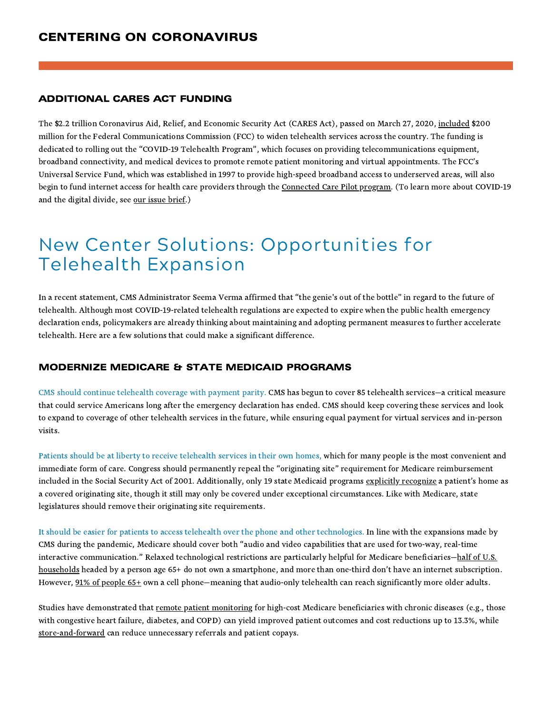### ADDITIONAL CARES ACT FUNDING

The \$2.2 trillion Coronavirus Aid, Relief, and Economic Security Act (CARES Act), passed on March 27, 2020, [included](https://docs.fcc.gov/public/attachments/DOC-363498A1.pdf) \$200 million for the Federal Communications Commission (FCC) to widen telehealth services across the country. The funding is dedicated to rolling out the "COVID-19 Telehealth Program" , which focuses on providing telecommunications equipment, broadband connectivity, and medical devices to promote remote patient monitoring and virtual appointments. The FCC's Universal Service Fund, which was established in 1997 to provide high-speed broadband access to underserved areas, will also begin to fund internet access for health care providers through the [Connected](https://docs.fcc.gov/public/attachments/DOC-358399A1.pdf) Care Pilot program. (To learn more about COVID-19 and the digital divide, see our [issue](https://newcenter.org/policy_paper/centering-on-coronavirus-the-digital-divide/) brief.)

# New Center Solutions: Opportunities for Telehealth Expansion

In a recent statement, CMS Administrator Seema Verma affirmed that "the genie's out of the bottle" in regard to the future of telehealth. Although most COVID-19-related telehealth regulations are expected to expire when the public health emergency declaration ends, policymakers are already thinking about maintaining and adopting permanent measures to further accelerate telehealth. Here are a few solutions that could make a significant difference.

It should be easier for patients to access telehealth over the phone and other technologies. In line with the expansions made by CMS during the pandemic, Medicare should cover both "audio and video capabilities that are used for two-way, real-time interactive communication." Relaxed technological restrictions are particularly helpful for Medicare beneficiaries-half of U.S. households headed by a person age 65+ do not own a smartphone, and more than one-third don't have an internet subscription. However, 91% of [people](https://www.pewresearch.org/internet/fact-sheet/mobile/#:~:text=The%20vast%20majority%20of%20Americans,smartphone%20ownership%20conducted%20in%202011.) 65+ own a cell phone-meaning that audio-only telehealth can reach significantly more older adults.

### MODERNIZE MEDICARE & STATE MEDICAID PROGRAMS

CMS should continue telehealth coverage with payment parity. CMS has begun to cover 85 telehealth services—a critical measure that could service Americans long after the emergency declaration has ended. CMS should keep covering these services and look to expand to coverage of other telehealth services in the future, while ensuring equal payment for virtual services and in-person visits.

Studies have demonstrated that remote patient [monitoring](https://www.healthaffairs.org/doi/full/10.1377/hlthaff.2011.0216) for high-cost Medicare beneficiaries with chronic diseases (e.g., those with congestive heart failure, diabetes, and COPD) can yield improved patient outcomes and cost reductions up to 13.3%, while [store-and-forward](https://www.jaad.org/article/S0190-9622(19)32548-4/fulltext) can reduce unnecessary referrals and patient copays.

Patients should be at liberty to receive telehealth services in their own homes, which for many people is the most convenient and immediate form of care. Congress should permanently repeal the "originating site" requirement for Medicare reimbursement included in the Social Security Act of 2001. Additionally, only 19 state Medicaid programs explicitly [recognize](https://www.cchpca.org/sites/default/files/2019-10/50%20State%20Telehalth%20Laws%20and%20Reibmursement%20Policies%20Report%20Fall%202019%20FINAL.pdf) a patient's home as a covered originating site, though it still may only be covered under exceptional circumstances. Like with Medicare, state legislatures should remove their originating site requirements.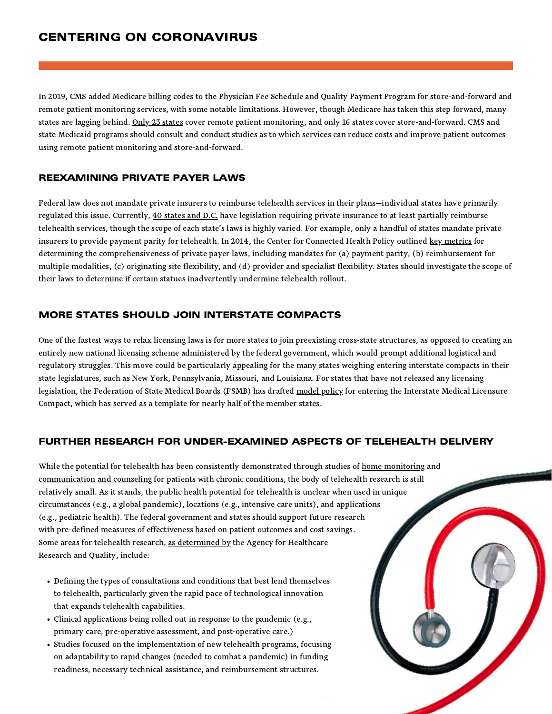### REEXAMINING PRIVATE PAYER LAWS

Federal law does not mandate private insurers to reimburse telehealth services in their plans—individual states have primarily regulated this issue. Currently, 40 [states](https://www.cchpca.org/sites/default/files/2019-10/50%20State%20Telehalth%20Laws%20and%20Reibmursement%20Policies%20Report%20Fall%202019%20FINAL.pdf) and D.C. have legislation requiring private insurance to at least partially reimburse telehealth services, though the scope of each state's laws is highly varied. For example, only a handful of states mandate private insurers to provide payment parity for telehealth. In 2014, the Center for Connected Health Policy outlined key [metrics](https://www.cchpca.org/sites/default/files/2018-09/CCHP_Milbank-Telehealth-Exec-Summary-FINAL.pdf) for determining the comprehensiveness of private payer laws, including mandates for (a) payment parity, (b) reimbursement for multiple modalities, (c) originating site flexibility, and (d) provider and specialist flexibility. States should investigate the scope of their laws to determine if certain statues inadvertently undermine telehealth rollout.

legislation, the Federation of State Medical Boards (FSMB) has drafted [model](http://www.fsmb.org/siteassets/advocacy/policies/fsmb_telemedicine_policy.pdf) policy for entering the Interstate Medical Licensure Compact, which has served as a template for nearly half of the member states.

### MORE STATES SHOULD JOIN INTERSTATE COMPACTS

One of the fastest ways to relax licensing laws is for more states to join preexisting cross-state structures, as opposed to creating an entirely new national licensing scheme administered by the federal government, which would prompt additional logistical and regulatory struggles. This move could be particularly appealing for the many states weighing entering interstate compacts in their state legislatures, such as New York, Pennsylvania, Missouri, and Louisiana. For states that have not released any licensing

While the potential for telehealth has been consistently demonstrated through studies of home [monitoring](https://effectivehealthcare.ahrq.gov/products/telehealth/technical-brief) and [communication](https://effectivehealthcare.ahrq.gov/products/telehealth/technical-brief) and counseling for patients with chronic conditions, the body of telehealth research is still relatively small. As it stands, the public health potential for telehealth is unclear when used in unique circumstances (e.g., a global pandemic), locations (e.g., intensive care units), and applications (e.g., pediatric health). The federal government and states should support future research with pre-defined measures of effectiveness based on patient outcomes and cost savings. Some areas for telehealth research, as [determined](https://effectivehealthcare.ahrq.gov/products/telehealth-expansion/white-paper) by the Agency for Healthcare Research and Quality, include:

In 2019, CMS added Medicare billing codes to the Physician Fee Schedule and Quality Payment Program for store-and-forward and remote patient monitoring services, with some notable limitations. However, though Medicare has taken this step forward, many [states](https://www.cchpca.org/sites/default/files/2020-05/CCHP_%2050_STATE_REPORT_SPRING_2020_FINAL.pdf) are lagging behind. Only 23 states cover remote patient monitoring, and only 16 states cover store-and-forward. CMS and state Medicaid programs should consult and conduct studies as to which services can reduce costs and improve patient outcomes using remote patient monitoring and store-and-forward.

### FURTHER RESEARCH FOR UNDER-EXAMINED ASPECTS OF TELEHEALTH DELIVERY

- Defining the types of consultations and conditions that best lend themselves to telehealth, particularly given the rapid pace of technological innovation that expands telehealth capabilities.
- Clinical applications being rolled out in response to the pandemic (e.g., primary care, pre-operative assessment, and post-operative care.)
- Studies focused on the implementation of new telehealth programs, focusing on adaptability to rapid changes (needed to combat a pandemic) in funding readiness, necessary technical assistance, and reimbursement structures.